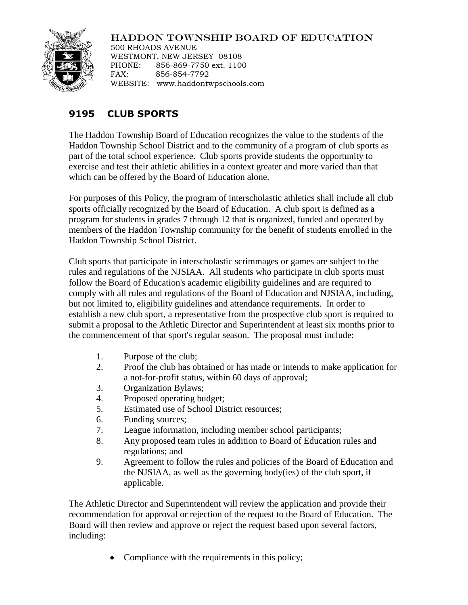## HADDON TOWNSHIP BOARD OF EDUCATION



500 RHOADS AVENUE WESTMONT, NEW JERSEY 08108 PHONE: 856-869-7750 ext. 1100 FAX: 856-854-7792 WEBSITE: www.haddontwpschools.com

## **9195 CLUB SPORTS**

The Haddon Township Board of Education recognizes the value to the students of the Haddon Township School District and to the community of a program of club sports as part of the total school experience. Club sports provide students the opportunity to exercise and test their athletic abilities in a context greater and more varied than that which can be offered by the Board of Education alone.

For purposes of this Policy, the program of interscholastic athletics shall include all club sports officially recognized by the Board of Education. A club sport is defined as a program for students in grades 7 through 12 that is organized, funded and operated by members of the Haddon Township community for the benefit of students enrolled in the Haddon Township School District.

Club sports that participate in interscholastic scrimmages or games are subject to the rules and regulations of the NJSIAA. All students who participate in club sports must follow the Board of Education's academic eligibility guidelines and are required to comply with all rules and regulations of the Board of Education and NJSIAA, including, but not limited to, eligibility guidelines and attendance requirements. In order to establish a new club sport, a representative from the prospective club sport is required to submit a proposal to the Athletic Director and Superintendent at least six months prior to the commencement of that sport's regular season. The proposal must include:

- 1. Purpose of the club;
- 2. Proof the club has obtained or has made or intends to make application for a not-for-profit status, within 60 days of approval;
- 3. Organization Bylaws;
- 4. Proposed operating budget;
- 5. Estimated use of School District resources;
- 6. Funding sources;
- 7. League information, including member school participants;
- 8. Any proposed team rules in addition to Board of Education rules and regulations; and
- 9. Agreement to follow the rules and policies of the Board of Education and the NJSIAA, as well as the governing body(ies) of the club sport, if applicable.

The Athletic Director and Superintendent will review the application and provide their recommendation for approval or rejection of the request to the Board of Education. The Board will then review and approve or reject the request based upon several factors, including:

• Compliance with the requirements in this policy;